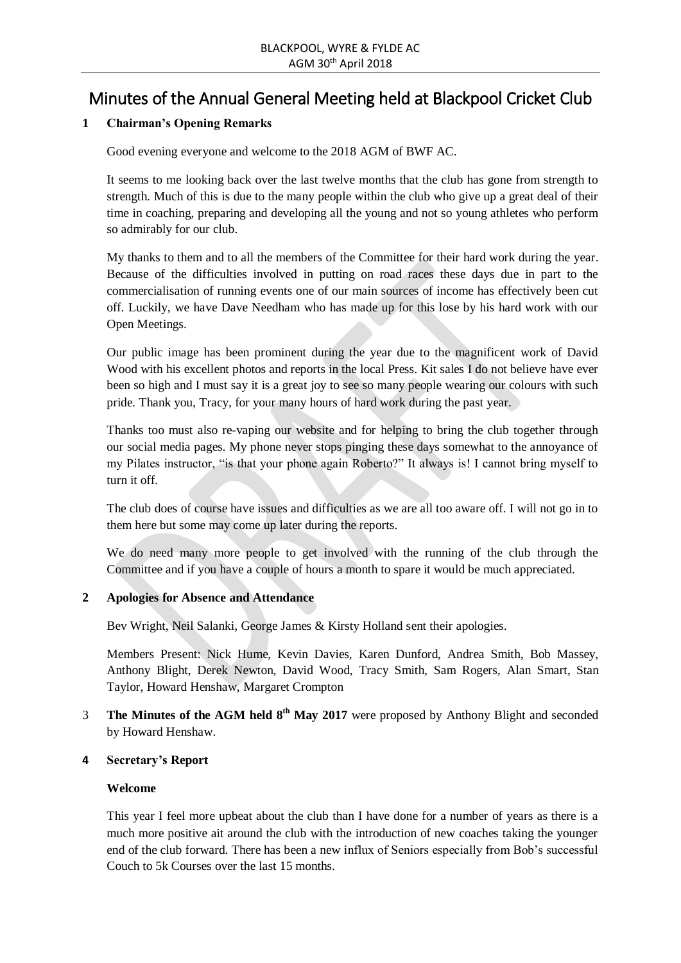# Minutes of the Annual General Meeting held at Blackpool Cricket Club

# **1 Chairman's Opening Remarks**

Good evening everyone and welcome to the 2018 AGM of BWF AC.

It seems to me looking back over the last twelve months that the club has gone from strength to strength. Much of this is due to the many people within the club who give up a great deal of their time in coaching, preparing and developing all the young and not so young athletes who perform so admirably for our club.

My thanks to them and to all the members of the Committee for their hard work during the year. Because of the difficulties involved in putting on road races these days due in part to the commercialisation of running events one of our main sources of income has effectively been cut off. Luckily, we have Dave Needham who has made up for this lose by his hard work with our Open Meetings.

Our public image has been prominent during the year due to the magnificent work of David Wood with his excellent photos and reports in the local Press. Kit sales I do not believe have ever been so high and I must say it is a great joy to see so many people wearing our colours with such pride. Thank you, Tracy, for your many hours of hard work during the past year.

Thanks too must also re-vaping our website and for helping to bring the club together through our social media pages. My phone never stops pinging these days somewhat to the annoyance of my Pilates instructor, "is that your phone again Roberto?" It always is! I cannot bring myself to turn it off.

The club does of course have issues and difficulties as we are all too aware off. I will not go in to them here but some may come up later during the reports.

We do need many more people to get involved with the running of the club through the Committee and if you have a couple of hours a month to spare it would be much appreciated.

## **2 Apologies for Absence and Attendance**

Bev Wright, Neil Salanki, George James & Kirsty Holland sent their apologies.

Members Present: Nick Hume, Kevin Davies, Karen Dunford, Andrea Smith, Bob Massey, Anthony Blight, Derek Newton, David Wood, Tracy Smith, Sam Rogers, Alan Smart, Stan Taylor, Howard Henshaw, Margaret Crompton

**3** The Minutes of the AGM held  $8^{th}$  May 2017 were proposed by Anthony Blight and seconded by Howard Henshaw.

#### **4 Secretary's Report**

#### **Welcome**

This year I feel more upbeat about the club than I have done for a number of years as there is a much more positive ait around the club with the introduction of new coaches taking the younger end of the club forward. There has been a new influx of Seniors especially from Bob's successful Couch to 5k Courses over the last 15 months.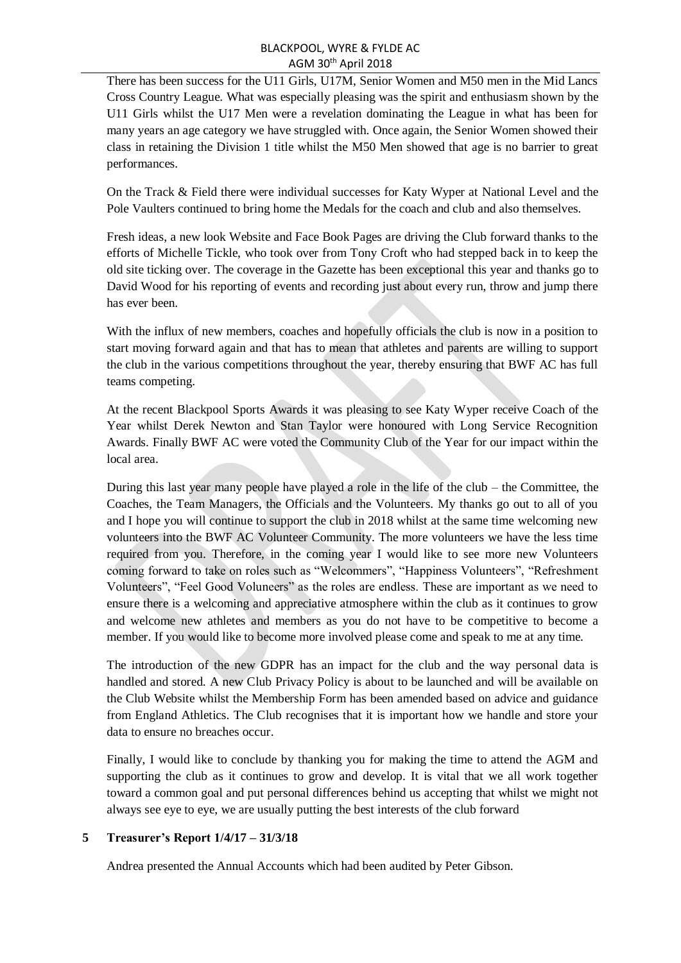### BLACKPOOL, WYRE & FYLDE AC AGM 30th April 2018

There has been success for the U11 Girls, U17M, Senior Women and M50 men in the Mid Lancs Cross Country League. What was especially pleasing was the spirit and enthusiasm shown by the U11 Girls whilst the U17 Men were a revelation dominating the League in what has been for many years an age category we have struggled with. Once again, the Senior Women showed their class in retaining the Division 1 title whilst the M50 Men showed that age is no barrier to great performances.

On the Track & Field there were individual successes for Katy Wyper at National Level and the Pole Vaulters continued to bring home the Medals for the coach and club and also themselves.

Fresh ideas, a new look Website and Face Book Pages are driving the Club forward thanks to the efforts of Michelle Tickle, who took over from Tony Croft who had stepped back in to keep the old site ticking over. The coverage in the Gazette has been exceptional this year and thanks go to David Wood for his reporting of events and recording just about every run, throw and jump there has ever been.

With the influx of new members, coaches and hopefully officials the club is now in a position to start moving forward again and that has to mean that athletes and parents are willing to support the club in the various competitions throughout the year, thereby ensuring that BWF AC has full teams competing.

At the recent Blackpool Sports Awards it was pleasing to see Katy Wyper receive Coach of the Year whilst Derek Newton and Stan Taylor were honoured with Long Service Recognition Awards. Finally BWF AC were voted the Community Club of the Year for our impact within the local area.

During this last year many people have played a role in the life of the club – the Committee, the Coaches, the Team Managers, the Officials and the Volunteers. My thanks go out to all of you and I hope you will continue to support the club in 2018 whilst at the same time welcoming new volunteers into the BWF AC Volunteer Community. The more volunteers we have the less time required from you. Therefore, in the coming year I would like to see more new Volunteers coming forward to take on roles such as "Welcommers", "Happiness Volunteers", "Refreshment Volunteers", "Feel Good Voluneers" as the roles are endless. These are important as we need to ensure there is a welcoming and appreciative atmosphere within the club as it continues to grow and welcome new athletes and members as you do not have to be competitive to become a member. If you would like to become more involved please come and speak to me at any time.

The introduction of the new GDPR has an impact for the club and the way personal data is handled and stored. A new Club Privacy Policy is about to be launched and will be available on the Club Website whilst the Membership Form has been amended based on advice and guidance from England Athletics. The Club recognises that it is important how we handle and store your data to ensure no breaches occur.

Finally, I would like to conclude by thanking you for making the time to attend the AGM and supporting the club as it continues to grow and develop. It is vital that we all work together toward a common goal and put personal differences behind us accepting that whilst we might not always see eye to eye, we are usually putting the best interests of the club forward

## **5 Treasurer's Report 1/4/17 – 31/3/18**

Andrea presented the Annual Accounts which had been audited by Peter Gibson.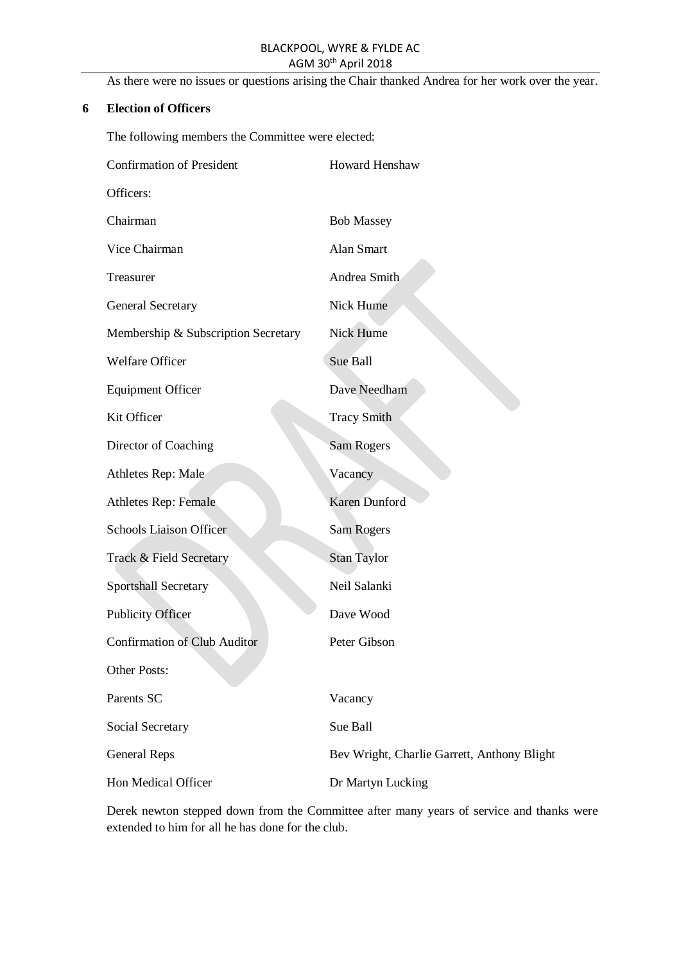# BLACKPOOL, WYRE & FYLDE AC AGM 30th April 2018

As there were no issues or questions arising the Chair thanked Andrea for her work over the year.

#### **6 Election of Officers**

The following members the Committee were elected:

| <b>Confirmation of President</b>    | Howard Henshaw                              |
|-------------------------------------|---------------------------------------------|
| Officers:                           |                                             |
| Chairman                            | <b>Bob Massey</b>                           |
| Vice Chairman                       | Alan Smart                                  |
| Treasurer                           | Andrea Smith                                |
| <b>General Secretary</b>            | Nick Hume                                   |
| Membership & Subscription Secretary | Nick Hume                                   |
| Welfare Officer                     | Sue Ball                                    |
| <b>Equipment Officer</b>            | Dave Needham                                |
| Kit Officer                         | <b>Tracy Smith</b>                          |
| Director of Coaching                | <b>Sam Rogers</b>                           |
| Athletes Rep: Male                  | Vacancy                                     |
| <b>Athletes Rep: Female</b>         | Karen Dunford                               |
| <b>Schools Liaison Officer</b>      | Sam Rogers                                  |
| Track & Field Secretary             | <b>Stan Taylor</b>                          |
| <b>Sportshall Secretary</b>         | Neil Salanki                                |
| <b>Publicity Officer</b>            | Dave Wood                                   |
| <b>Confirmation of Club Auditor</b> | Peter Gibson                                |
| <b>Other Posts:</b>                 |                                             |
| Parents SC                          | Vacancy                                     |
| Social Secretary                    | Sue Ball                                    |
| <b>General Reps</b>                 | Bev Wright, Charlie Garrett, Anthony Blight |
| Hon Medical Officer                 | Dr Martyn Lucking                           |

Derek newton stepped down from the Committee after many years of service and thanks were extended to him for all he has done for the club.